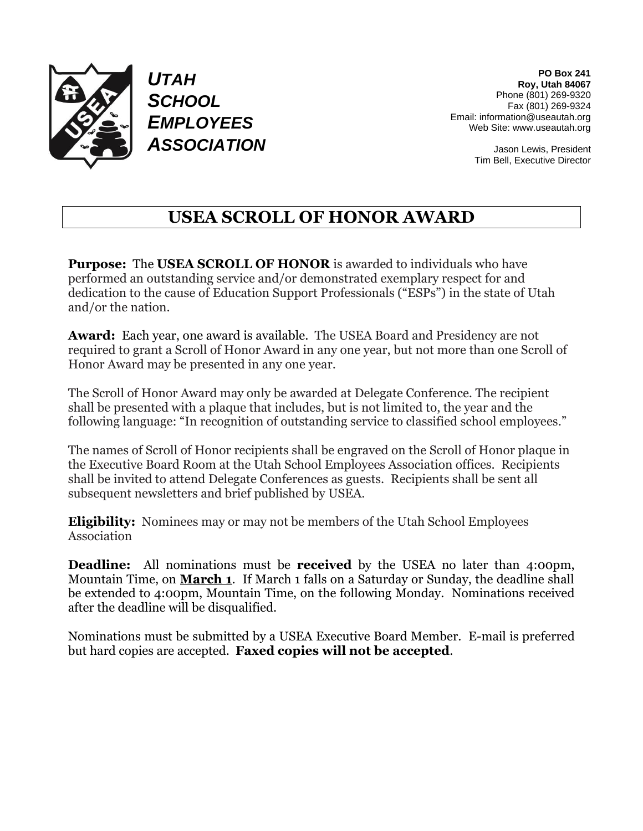

*UTAH SCHOOL EMPLOYEES ASSOCIATION*

**PO Box 241 Roy, Utah 84067** Phone (801) 269-9320 Fax (801) 269-9324 Email: information@useautah.org Web Site: www.useautah.org

> Jason Lewis, President Tim Bell, Executive Director

## **USEA SCROLL OF HONOR AWARD**

**Purpose:** The **USEA SCROLL OF HONOR** is awarded to individuals who have performed an outstanding service and/or demonstrated exemplary respect for and dedication to the cause of Education Support Professionals ("ESPs") in the state of Utah and/or the nation.

**Award:** Each year, one award is available. The USEA Board and Presidency are not required to grant a Scroll of Honor Award in any one year, but not more than one Scroll of Honor Award may be presented in any one year.

The Scroll of Honor Award may only be awarded at Delegate Conference. The recipient shall be presented with a plaque that includes, but is not limited to, the year and the following language: "In recognition of outstanding service to classified school employees."

The names of Scroll of Honor recipients shall be engraved on the Scroll of Honor plaque in the Executive Board Room at the Utah School Employees Association offices. Recipients shall be invited to attend Delegate Conferences as guests. Recipients shall be sent all subsequent newsletters and brief published by USEA.

**Eligibility:** Nominees may or may not be members of the Utah School Employees Association

**Deadline:** All nominations must be **received** by the USEA no later than 4:00pm, Mountain Time, on **March 1**. If March 1 falls on a Saturday or Sunday, the deadline shall be extended to 4:00pm, Mountain Time, on the following Monday. Nominations received after the deadline will be disqualified.

Nominations must be submitted by a USEA Executive Board Member. E-mail is preferred but hard copies are accepted. **Faxed copies will not be accepted**.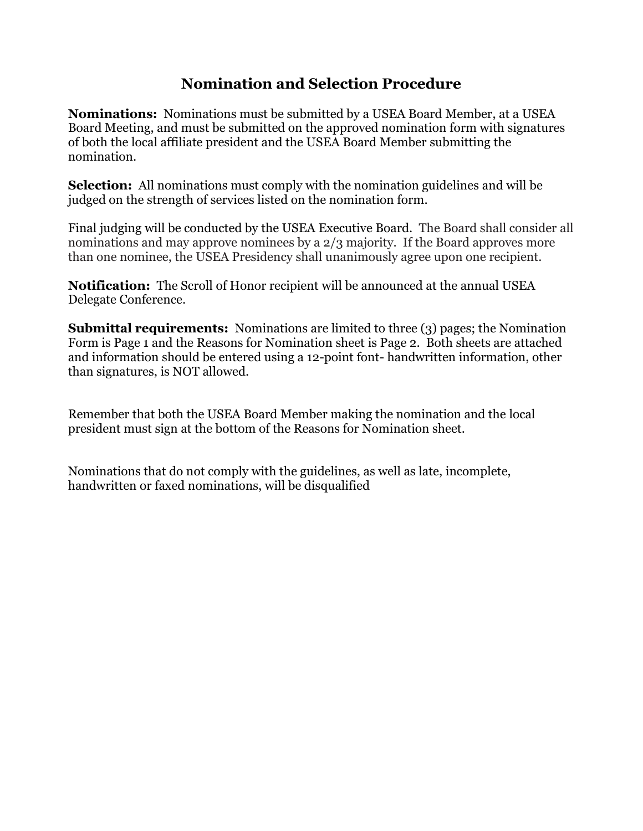#### **Nomination and Selection Procedure**

**Nominations:** Nominations must be submitted by a USEA Board Member, at a USEA Board Meeting, and must be submitted on the approved nomination form with signatures of both the local affiliate president and the USEA Board Member submitting the nomination.

**Selection:** All nominations must comply with the nomination guidelines and will be judged on the strength of services listed on the nomination form.

Final judging will be conducted by the USEA Executive Board. The Board shall consider all nominations and may approve nominees by a 2/3 majority. If the Board approves more than one nominee, the USEA Presidency shall unanimously agree upon one recipient.

**Notification:** The Scroll of Honor recipient will be announced at the annual USEA Delegate Conference.

**Submittal requirements:** Nominations are limited to three (3) pages; the Nomination Form is Page 1 and the Reasons for Nomination sheet is Page 2. Both sheets are attached and information should be entered using a 12-point font- handwritten information, other than signatures, is NOT allowed.

Remember that both the USEA Board Member making the nomination and the local president must sign at the bottom of the Reasons for Nomination sheet.

Nominations that do not comply with the guidelines, as well as late, incomplete, handwritten or faxed nominations, will be disqualified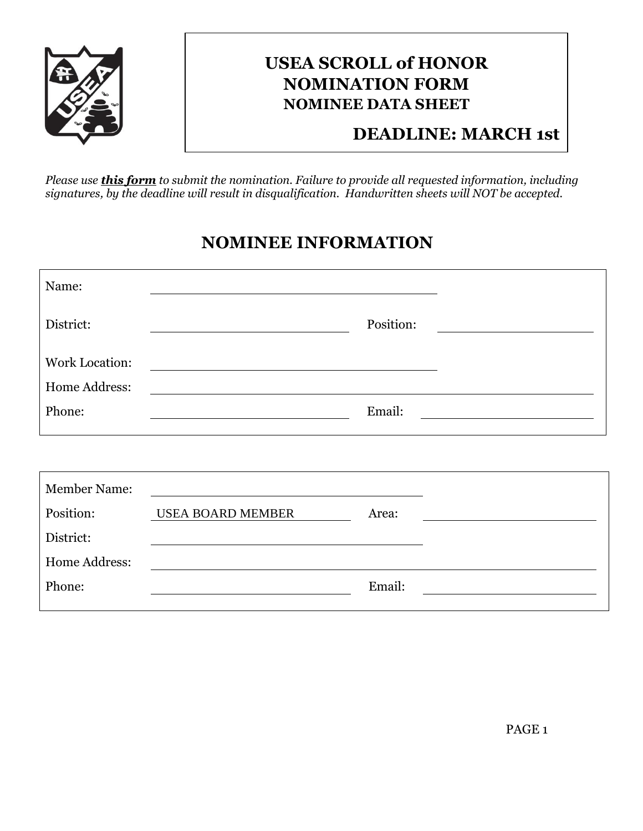

# **USEA SCROLL of HONOR NOMINATION FORM NOMINEE DATA SHEET**

### **DEADLINE: MARCH 1st**

*Please use this form to submit the nomination. Failure to provide all requested information, including signatures, by the deadline will result in disqualification. Handwritten sheets will NOT be accepted.*

#### **NOMINEE INFORMATION**

| Name:                 |                                                                                                                       |                                                   |  |
|-----------------------|-----------------------------------------------------------------------------------------------------------------------|---------------------------------------------------|--|
| District:             |                                                                                                                       | Position:                                         |  |
| <b>Work Location:</b> |                                                                                                                       |                                                   |  |
| Home Address:         |                                                                                                                       |                                                   |  |
| Phone:                |                                                                                                                       | Email:<br><u> 1989 - Johann Barbara, martin a</u> |  |
|                       |                                                                                                                       |                                                   |  |
| <b>Member Name:</b>   | <u> 1986 - Johann Harry Barn, mars and de Branch and de Branch and de Branch and de Branch and de Branch and de B</u> |                                                   |  |
| Position:             | <b>USEA BOARD MEMBER</b>                                                                                              | Area:                                             |  |
| District:             |                                                                                                                       |                                                   |  |
| Home Address:         |                                                                                                                       |                                                   |  |
| Phone:                |                                                                                                                       | Email:                                            |  |
|                       |                                                                                                                       |                                                   |  |